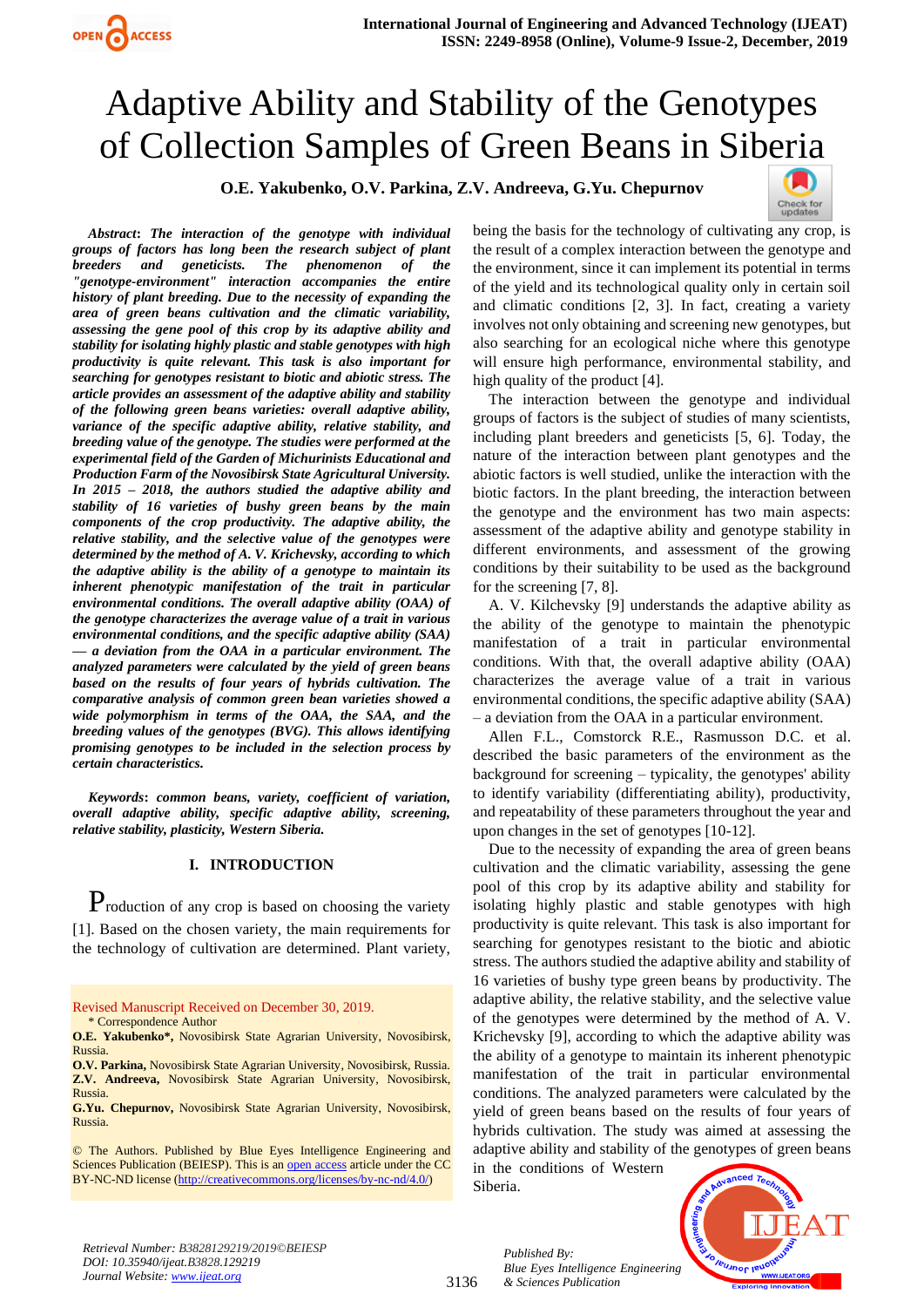# Adaptive Ability and Stability of the Genotypes of Collection Samples of Green Beans in Si[beria](https://crossmark.crossref.org/dialog/?doi=10.35940/ijeat.B3828.129219&domain=www.ijeat.org)

**O.E. Yakubenko, O.V. Parkina, Z.V. Andreeva, G.Yu. Chepurnov**



*Abstract***:** *The interaction of the genotype with individual groups of factors has long been the research subject of plant breeders and geneticists. The phenomenon of the "genotype-environment" interaction accompanies the entire history of plant breeding. Due to the necessity of expanding the area of green beans cultivation and the climatic variability, assessing the gene pool of this crop by its adaptive ability and stability for isolating highly plastic and stable genotypes with high productivity is quite relevant. This task is also important for searching for genotypes resistant to biotic and abiotic stress. The article provides an assessment of the adaptive ability and stability of the following green beans varieties: overall adaptive ability, variance of the specific adaptive ability, relative stability, and breeding value of the genotype. The studies were performed at the experimental field of the Garden of Michurinists Educational and Production Farm of the Novosibirsk State Agricultural University. In 2015 – 2018, the authors studied the adaptive ability and stability of 16 varieties of bushy green beans by the main components of the crop productivity. The adaptive ability, the relative stability, and the selective value of the genotypes were determined by the method of A. V. Krichevsky, according to which the adaptive ability is the ability of a genotype to maintain its inherent phenotypic manifestation of the trait in particular environmental conditions. The overall adaptive ability (OAA) of the genotype characterizes the average value of a trait in various environmental conditions, and the specific adaptive ability (SAA) — a deviation from the OAA in a particular environment. The analyzed parameters were calculated by the yield of green beans based on the results of four years of hybrids cultivation. The comparative analysis of common green bean varieties showed a wide polymorphism in terms of the OAA, the SAA, and the breeding values of the genotypes (BVG). This allows identifying promising genotypes to be included in the selection process by certain characteristics.*

*Keywords***:** *common beans, variety, coefficient of variation, overall adaptive ability, specific adaptive ability, screening, relative stability, plasticity, Western Siberia.* 

# **I. INTRODUCTION**

Production of any crop is based on choosing the variety [1]. Based on the chosen variety, the main requirements for the technology of cultivation are determined. Plant variety,

Revised Manuscript Received on December 30, 2019. \* Correspondence Author

**O.E. Yakubenko\*,** Novosibirsk State Agrarian University, Novosibirsk, Russia.

**O.V. Parkina,** Novosibirsk State Agrarian University, Novosibirsk, Russia. **Z.V. Andreeva,** Novosibirsk State Agrarian University, Novosibirsk, Russia.

**G.Yu. Chepurnov,** Novosibirsk State Agrarian University, Novosibirsk, Russia.

© The Authors. Published by Blue Eyes Intelligence Engineering and Sciences Publication (BEIESP). This is a[n open access](https://www.openaccess.nl/en/open-publications) article under the CC BY-NC-ND license [\(http://creativecommons.org/licenses/by-nc-nd/4.0/\)](http://creativecommons.org/licenses/by-nc-nd/4.0/)

being the basis for the technology of cultivating any crop, is the result of a complex interaction between the genotype and the environment, since it can implement its potential in terms of the yield and its technological quality only in certain soil and climatic conditions [2, 3]. In fact, creating a variety involves not only obtaining and screening new genotypes, but also searching for an ecological niche where this genotype will ensure high performance, environmental stability, and high quality of the product [4].

The interaction between the genotype and individual groups of factors is the subject of studies of many scientists, including plant breeders and geneticists [5, 6]. Today, the nature of the interaction between plant genotypes and the abiotic factors is well studied, unlike the interaction with the biotic factors. In the plant breeding, the interaction between the genotype and the environment has two main aspects: assessment of the adaptive ability and genotype stability in different environments, and assessment of the growing conditions by their suitability to be used as the background for the screening [7, 8].

A. V. Kilchevsky [9] understands the adaptive ability as the ability of the genotype to maintain the phenotypic manifestation of a trait in particular environmental conditions. With that, the overall adaptive ability (OAA) characterizes the average value of a trait in various environmental conditions, the specific adaptive ability (SAA) – a deviation from the OAA in a particular environment.

Allen F.L., Comstorck R.E., Rasmusson D.C. et al. described the basic parameters of the environment as the background for screening – typicality, the genotypes' ability to identify variability (differentiating ability), productivity, and repeatability of these parameters throughout the year and upon changes in the set of genotypes [10-12].

Due to the necessity of expanding the area of green beans cultivation and the climatic variability, assessing the gene pool of this crop by its adaptive ability and stability for isolating highly plastic and stable genotypes with high productivity is quite relevant. This task is also important for searching for genotypes resistant to the biotic and abiotic stress. The authors studied the adaptive ability and stability of 16 varieties of bushy type green beans by productivity. The adaptive ability, the relative stability, and the selective value of the genotypes were determined by the method of A. V. Krichevsky [9], according to which the adaptive ability was the ability of a genotype to maintain its inherent phenotypic manifestation of the trait in particular environmental conditions. The analyzed parameters were calculated by the yield of green beans based on the results of four years of hybrids cultivation. The study was aimed at assessing the adaptive ability and stability of the genotypes of green beans in the conditions of Western

Siberia.



*Retrieval Number: B3828129219/2019©BEIESP DOI: 10.35940/ijeat.B3828.129219 Journal Website[: www.ijeat.org](http://www.ijeat.org/)*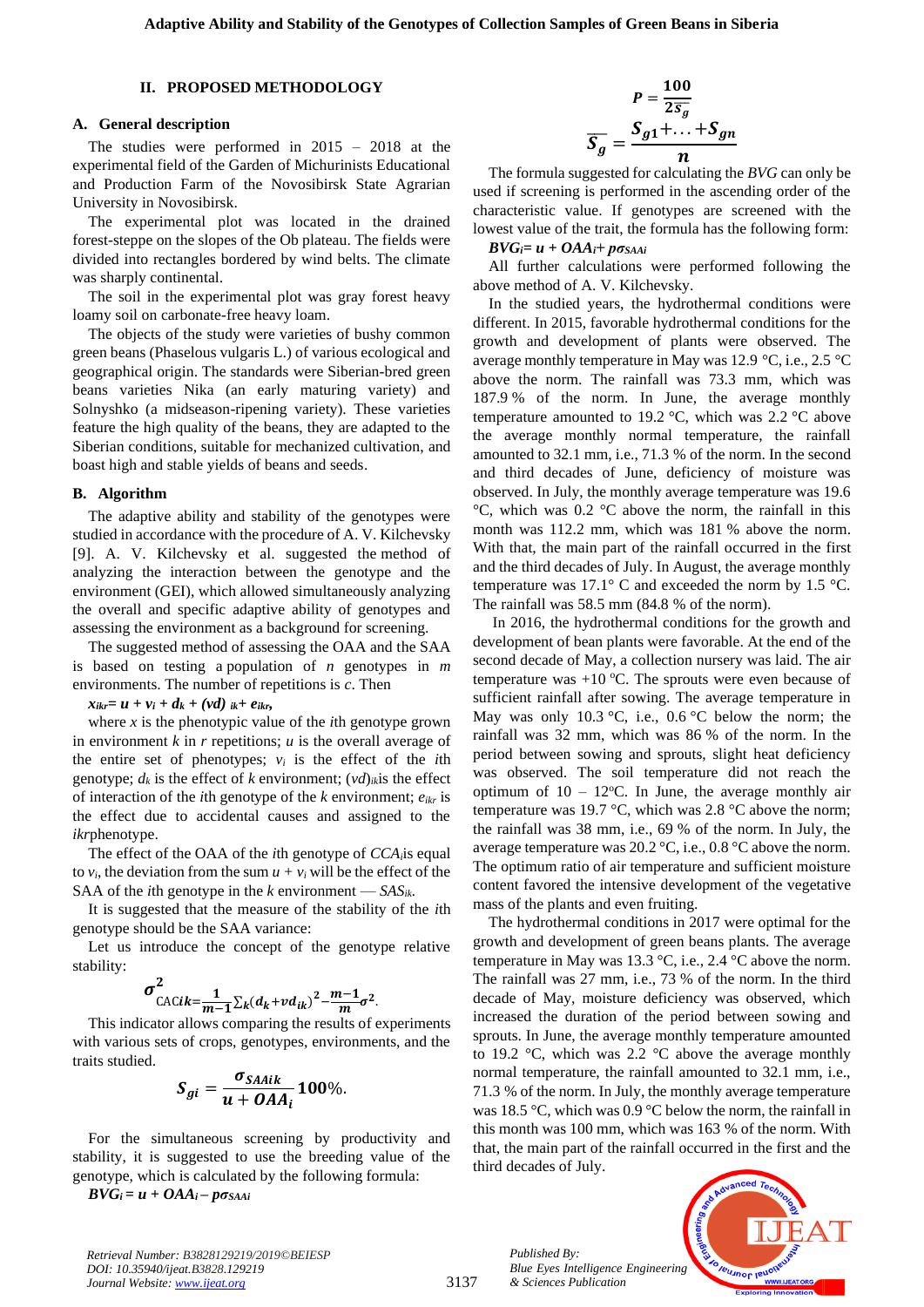#### **II. PROPOSED METHODOLOGY**

#### **A. General description**

The studies were performed in 2015 – 2018 at the experimental field of the Garden of Michurinists Educational and Production Farm of the Novosibirsk State Agrarian University in Novosibirsk.

The experimental plot was located in the drained forest-steppe on the slopes of the Ob plateau. The fields were divided into rectangles bordered by wind belts. The climate was sharply continental.

The soil in the experimental plot was gray forest heavy loamy soil on carbonate-free heavy loam.

The objects of the study were varieties of bushy common green beans (Phaselous vulgaris L.) of various ecological and geographical origin. The standards were Siberian-bred green beans varieties Nika (an early maturing variety) and Solnyshko (a midseason-ripening variety). These varieties feature the high quality of the beans, they are adapted to the Siberian conditions, suitable for mechanized cultivation, and boast high and stable yields of beans and seeds.

#### **B. Algorithm**

The adaptive ability and stability of the genotypes were studied in accordance with the procedure of A. V. Kilchevsky [9]. A. V. Kilchevsky et al. suggested the method of analyzing the interaction between the genotype and the environment (GEI), which allowed simultaneously analyzing the overall and specific adaptive ability of genotypes and assessing the environment as a background for screening.

The suggested method of assessing the OAA and the SAA is based on testing a population of *n* genotypes in *m*  environments. The number of repetitions is *c*. Then

*x*<sub>*ikr</sub>*=  $u + v_i + d_k + (vd)$  *ik*+ *eikr,*</sub>

where  $x$  is the phenotypic value of the *i*th genotype grown in environment *k* in *r* repetitions; *u* is the overall average of the entire set of phenotypes;  $v_i$  is the effect of the *i*th genotype;  $d_k$  is the effect of *k* environment;  $(vd)_{ik}$  is the effect of interaction of the *i*th genotype of the *k* environment; *eikr* is the effect due to accidental causes and assigned to the *ikr*phenotype.

The effect of the OAA of the *i*th genotype of *CCAi*is equal to  $v_i$ , the deviation from the sum  $u + v_i$  will be the effect of the SAA of the *i*th genotype in the *k* environment —  $SAS_{ik}$ .

It is suggested that the measure of the stability of the *i*th genotype should be the SAA variance:

Let us introduce the concept of the genotype relative stability:

$$
\sigma_{\text{CACi}k=\frac{1}{m-1}\sum_{k}(d_{k}+vd_{ik})^{2}-\frac{m-1}{m}\sigma^{2}}
$$

This indicator allows comparing the results of experiments with various sets of crops, genotypes, environments, and the traits studied.

$$
S_{gi}=\frac{\sigma_{SAAik}}{u+OAA_i}100\%.
$$

For the simultaneous screening by productivity and stability, it is suggested to use the breeding value of the genotype, which is calculated by the following formula:

 $BVG_i = u + OAA_i - p\sigma_{SAAi}$ 

$$
P = \frac{100}{2\overline{s_g}}
$$

$$
\overline{S_g} = \frac{S_{g1} + \dots + S_{gn}}{n}
$$

The formula suggested for calculating the *BVG* can only be used if screening is performed in the ascending order of the characteristic value. If genotypes are screened with the lowest value of the trait, the formula has the following form:

 $BVG_i = u + OAA_i + p\sigma_{SAAi}$ 

All further calculations were performed following the above method of A. V. Kilchevsky.

In the studied years, the hydrothermal conditions were different. In 2015, favorable hydrothermal conditions for the growth and development of plants were observed. The average monthly temperature in May was 12.9 °C, i.e., 2.5 °C above the norm. The rainfall was 73.3 mm, which was 187.9 % of the norm. In June, the average monthly temperature amounted to 19.2 °C, which was 2.2 °C above the average monthly normal temperature, the rainfall amounted to 32.1 mm, i.e., 71.3 % of the norm. In the second and third decades of June, deficiency of moisture was observed. In July, the monthly average temperature was 19.6  $\rm{°C}$ , which was 0.2  $\rm{°C}$  above the norm, the rainfall in this month was 112.2 mm, which was 181 % above the norm. With that, the main part of the rainfall occurred in the first and the third decades of July. In August, the average monthly temperature was 17.1° C and exceeded the norm by 1.5 °C. The rainfall was 58.5 mm (84.8 % of the norm).

In 2016, the hydrothermal conditions for the growth and development of bean plants were favorable. At the end of the second decade of May, a collection nursery was laid. The air temperature was  $+10$  °C. The sprouts were even because of sufficient rainfall after sowing. The average temperature in May was only 10.3  $\degree$ C, i.e., 0.6  $\degree$ C below the norm; the rainfall was 32 mm, which was 86 % of the norm. In the period between sowing and sprouts, slight heat deficiency was observed. The soil temperature did not reach the optimum of  $10 - 12$ °C. In June, the average monthly air temperature was 19.7 °C, which was 2.8 °C above the norm; the rainfall was 38 mm, i.e., 69 % of the norm. In July, the average temperature was 20.2 °C, i.e., 0.8 °C above the norm. The optimum ratio of air temperature and sufficient moisture content favored the intensive development of the vegetative mass of the plants and even fruiting.

The hydrothermal conditions in 2017 were optimal for the growth and development of green beans plants. The average temperature in May was 13.3 °C, i.e., 2.4 °C above the norm. The rainfall was 27 mm, i.e., 73 % of the norm. In the third decade of May, moisture deficiency was observed, which increased the duration of the period between sowing and sprouts. In June, the average monthly temperature amounted to 19.2 °C, which was 2.2 °C above the average monthly normal temperature, the rainfall amounted to 32.1 mm, i.e., 71.3 % of the norm. In July, the monthly average temperature was 18.5 °C, which was 0.9 °C below the norm, the rainfall in this month was 100 mm, which was 163 % of the norm. With that, the main part of the rainfall occurred in the first and the third decades of July.

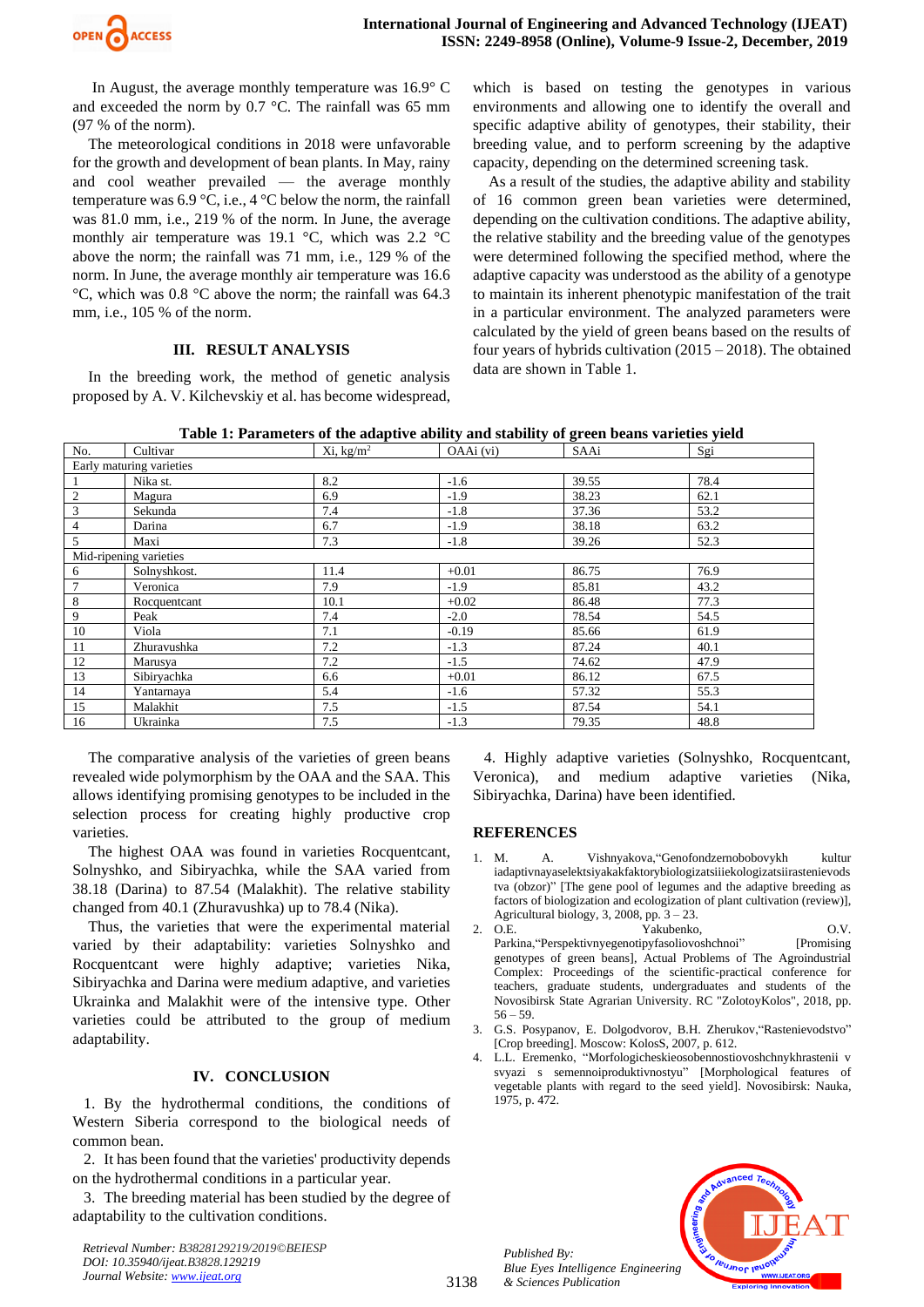

In August, the average monthly temperature was 16.9° C and exceeded the norm by 0.7 °C. The rainfall was 65 mm (97 % of the norm).

The meteorological conditions in 2018 were unfavorable for the growth and development of bean plants. In May, rainy and cool weather prevailed — the average monthly temperature was  $6.9 \degree C$ , i.e.,  $4 \degree C$  below the norm, the rainfall was 81.0 mm, i.e., 219 % of the norm. In June, the average monthly air temperature was 19.1 °C, which was 2.2 °C above the norm; the rainfall was 71 mm, i.e., 129 % of the norm. In June, the average monthly air temperature was 16.6 °C, which was 0.8 °C above the norm; the rainfall was 64.3 mm, i.e., 105 % of the norm.

# **III. RESULT ANALYSIS**

In the breeding work, the method of genetic analysis proposed by A. V. Kilchevskiy et al. has become widespread,

which is based on testing the genotypes in various environments and allowing one to identify the overall and specific adaptive ability of genotypes, their stability, their breeding value, and to perform screening by the adaptive capacity, depending on the determined screening task.

As a result of the studies, the adaptive ability and stability of 16 common green bean varieties were determined, depending on the cultivation conditions. The adaptive ability, the relative stability and the breeding value of the genotypes were determined following the specified method, where the adaptive capacity was understood as the ability of a genotype to maintain its inherent phenotypic manifestation of the trait in a particular environment. The analyzed parameters were calculated by the yield of green beans based on the results of four years of hybrids cultivation  $(2015 - 2018)$ . The obtained data are shown in Table 1.

**Table 1: Parameters of the adaptive ability and stability of green beans varieties yield**

| No.                      | Cultivar     | $Xi$ , kg/m <sup>2</sup> | OAAi (vi) | SAAi  | Sgi  |
|--------------------------|--------------|--------------------------|-----------|-------|------|
| Early maturing varieties |              |                          |           |       |      |
|                          | Nika st.     | 8.2                      | $-1.6$    | 39.55 | 78.4 |
| 2                        | Magura       | 6.9                      | $-1.9$    | 38.23 | 62.1 |
| 3                        | Sekunda      | 7.4                      | $-1.8$    | 37.36 | 53.2 |
| $\overline{4}$           | Darina       | 6.7                      | $-1.9$    | 38.18 | 63.2 |
| 5                        | Maxi         | 7.3                      | $-1.8$    | 39.26 | 52.3 |
| Mid-ripening varieties   |              |                          |           |       |      |
| 6                        | Solnyshkost. | 11.4                     | $+0.01$   | 86.75 | 76.9 |
| $7\phantom{.0}$          | Veronica     | 7.9                      | $-1.9$    | 85.81 | 43.2 |
| 8                        | Rocquentcant | 10.1                     | $+0.02$   | 86.48 | 77.3 |
| 9                        | Peak         | 7.4                      | $-2.0$    | 78.54 | 54.5 |
| 10                       | Viola        | 7.1                      | $-0.19$   | 85.66 | 61.9 |
| 11                       | Zhuravushka  | 7.2                      | $-1.3$    | 87.24 | 40.1 |
| 12                       | Marusya      | 7.2                      | $-1.5$    | 74.62 | 47.9 |
| 13                       | Sibiryachka  | 6.6                      | $+0.01$   | 86.12 | 67.5 |
| 14                       | Yantarnaya   | 5.4                      | $-1.6$    | 57.32 | 55.3 |
| 15                       | Malakhit     | 7.5                      | $-1.5$    | 87.54 | 54.1 |
| 16                       | Ukrainka     | 7.5                      | $-1.3$    | 79.35 | 48.8 |

The comparative analysis of the varieties of green beans revealed wide polymorphism by the OAA and the SAA. This allows identifying promising genotypes to be included in the selection process for creating highly productive crop varieties.

The highest OAA was found in varieties Rocquentcant, Solnyshko, and Sibiryachka, while the SAA varied from 38.18 (Darina) to 87.54 (Malakhit). The relative stability changed from 40.1 (Zhuravushka) up to 78.4 (Nika).

Thus, the varieties that were the experimental material varied by their adaptability: varieties Solnyshko and Rocquentcant were highly adaptive; varieties Nika, Sibiryachka and Darina were medium adaptive, and varieties Ukrainka and Malakhit were of the intensive type. Other varieties could be attributed to the group of medium adaptability.

## **IV. CONCLUSION**

1. By the hydrothermal conditions, the conditions of Western Siberia correspond to the biological needs of common bean.

2. It has been found that the varieties' productivity depends on the hydrothermal conditions in a particular year.

3. The breeding material has been studied by the degree of adaptability to the cultivation conditions.

*Retrieval Number: B3828129219/2019©BEIESP DOI: 10.35940/ijeat.B3828.129219 Journal Website[: www.ijeat.org](http://www.ijeat.org/)*

4. Highly adaptive varieties (Solnyshko, Rocquentcant, Veronica), and medium adaptive varieties (Nika, Sibiryachka, Darina) have been identified*.*

### **REFERENCES**

- 1. M. A. Vishnyakova,"Genofondzernobobovykh kultur iadaptivnayaselektsiyakakfaktorybiologizatsiiiekologizatsiirastenievods tva (obzor)" [The gene pool of legumes and the adaptive breeding as factors of biologization and ecologization of plant cultivation (review)], Agricultural biology, 3, 2008, pp.  $3 - 23$ .
- 2. O.E. <br>
Yakubenko, O.V.<br>
Parkina, "Perspektivnyegenotipyfasoliovoshchnoi" [Promising Parkina, "Perspektivnyegenotipyfasoliovoshchnoi" genotypes of green beans], Actual Problems of The Agroindustrial Complex: Proceedings of the scientific-practical conference for teachers, graduate students, undergraduates and students of the Novosibirsk State Agrarian University. RC "ZolotoyKolos", 2018, pp.  $56 - 59.$
- 3. G.S. Posypanov, E. Dolgodvorov, B.H. Zherukov,"Rastenievodstvo" [Crop breeding]. Moscow: KolosS, 2007, p. 612.
- 4. L.L. Eremenko, "Morfologicheskieosobennostiovoshchnykhrastenii v svyazi s semennoiproduktivnostyu" [Morphological features of vegetable plants with regard to the seed yield]. Novosibirsk: Nauka, 1975, p. 472.